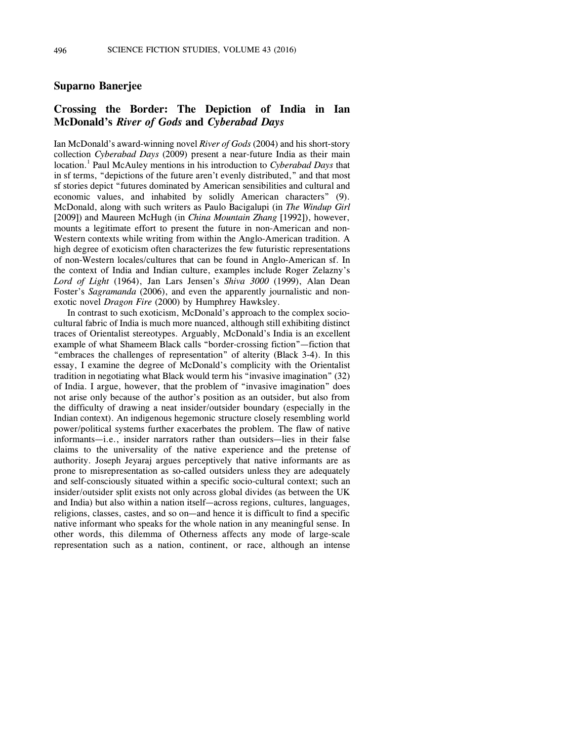## **Suparno Banerjee**

# **Crossing the Border: The Depiction of India in Ian McDonald's** *River of Gods* **and** *Cyberabad Days*

Ian McDonald's award-winning novel *River of Gods* (2004) and his short-story collection *Cyberabad Days* (2009) present a near-future India as their main location.<sup>1</sup> Paul McAuley mentions in his introduction to *Cyberabad Days* that in sf terms, "depictions of the future aren't evenly distributed," and that most sf stories depict "futures dominated by American sensibilities and cultural and economic values, and inhabited by solidly American characters" (9). McDonald, along with such writers as Paulo Bacigalupi (in *The Windup Girl* [2009]) and Maureen McHugh (in *China Mountain Zhang* [1992]), however, mounts a legitimate effort to present the future in non-American and non-Western contexts while writing from within the Anglo-American tradition. A high degree of exoticism often characterizes the few futuristic representations of non-Western locales/cultures that can be found in Anglo-American sf. In the context of India and Indian culture, examples include Roger Zelazny's *Lord of Light* (1964), Jan Lars Jensen's *Shiva 3000* (1999), Alan Dean Foster's *Sagramanda* (2006), and even the apparently journalistic and nonexotic novel *Dragon Fire* (2000) by Humphrey Hawksley.

In contrast to such exoticism, McDonald's approach to the complex sociocultural fabric of India is much more nuanced, although still exhibiting distinct traces of Orientalist stereotypes. Arguably, McDonald's India is an excellent example of what Shameem Black calls "border-crossing fiction"—fiction that "embraces the challenges of representation" of alterity (Black 3-4). In this essay, I examine the degree of McDonald's complicity with the Orientalist tradition in negotiating what Black would term his "invasive imagination" (32) of India. I argue, however, that the problem of "invasive imagination" does not arise only because of the author's position as an outsider, but also from the difficulty of drawing a neat insider/outsider boundary (especially in the Indian context). An indigenous hegemonic structure closely resembling world power/political systems further exacerbates the problem. The flaw of native informants—i.e., insider narrators rather than outsiders—lies in their false claims to the universality of the native experience and the pretense of authority. Joseph Jeyaraj argues perceptively that native informants are as prone to misrepresentation as so-called outsiders unless they are adequately and self-consciously situated within a specific socio-cultural context; such an insider/outsider split exists not only across global divides (as between the UK and India) but also within a nation itself—across regions, cultures, languages, religions, classes, castes, and so on—and hence it is difficult to find a specific native informant who speaks for the whole nation in any meaningful sense. In other words, this dilemma of Otherness affects any mode of large-scale representation such as a nation, continent, or race, although an intense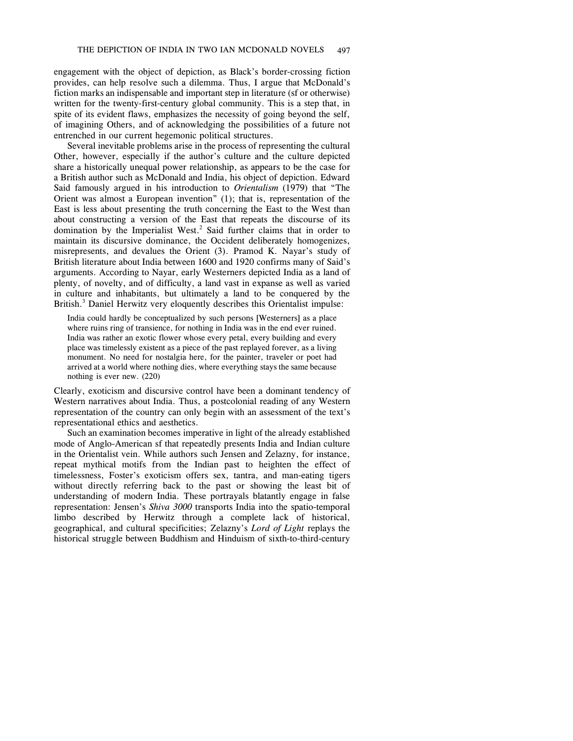engagement with the object of depiction, as Black's border-crossing fiction provides, can help resolve such a dilemma. Thus, I argue that McDonald's fiction marks an indispensable and important step in literature (sf or otherwise) written for the twenty-first-century global community. This is a step that, in spite of its evident flaws, emphasizes the necessity of going beyond the self, of imagining Others, and of acknowledging the possibilities of a future not entrenched in our current hegemonic political structures.

Several inevitable problems arise in the process of representing the cultural Other, however, especially if the author's culture and the culture depicted share a historically unequal power relationship, as appears to be the case for a British author such as McDonald and India, his object of depiction. Edward Said famously argued in his introduction to *Orientalism* (1979) that "The Orient was almost a European invention" (1); that is, representation of the East is less about presenting the truth concerning the East to the West than about constructing a version of the East that repeats the discourse of its domination by the Imperialist West.<sup>2</sup> Said further claims that in order to maintain its discursive dominance, the Occident deliberately homogenizes, misrepresents, and devalues the Orient (3). Pramod K. Nayar's study of British literature about India between 1600 and 1920 confirms many of Said's arguments. According to Nayar, early Westerners depicted India as a land of plenty, of novelty, and of difficulty, a land vast in expanse as well as varied in culture and inhabitants, but ultimately a land to be conquered by the British.<sup>3</sup> Daniel Herwitz very eloquently describes this Orientalist impulse:

India could hardly be conceptualized by such persons [Westerners] as a place where ruins ring of transience, for nothing in India was in the end ever ruined. India was rather an exotic flower whose every petal, every building and every place was timelessly existent as a piece of the past replayed forever, as a living monument. No need for nostalgia here, for the painter, traveler or poet had arrived at a world where nothing dies, where everything stays the same because nothing is ever new. (220)

Clearly, exoticism and discursive control have been a dominant tendency of Western narratives about India. Thus, a postcolonial reading of any Western representation of the country can only begin with an assessment of the text's representational ethics and aesthetics.

Such an examination becomes imperative in light of the already established mode of Anglo-American sf that repeatedly presents India and Indian culture in the Orientalist vein. While authors such Jensen and Zelazny, for instance, repeat mythical motifs from the Indian past to heighten the effect of timelessness, Foster's exoticism offers sex, tantra, and man-eating tigers without directly referring back to the past or showing the least bit of understanding of modern India. These portrayals blatantly engage in false representation: Jensen's *Shiva 3000* transports India into the spatio-temporal limbo described by Herwitz through a complete lack of historical, geographical, and cultural specificities; Zelazny's *Lord of Light* replays the historical struggle between Buddhism and Hinduism of sixth-to-third-century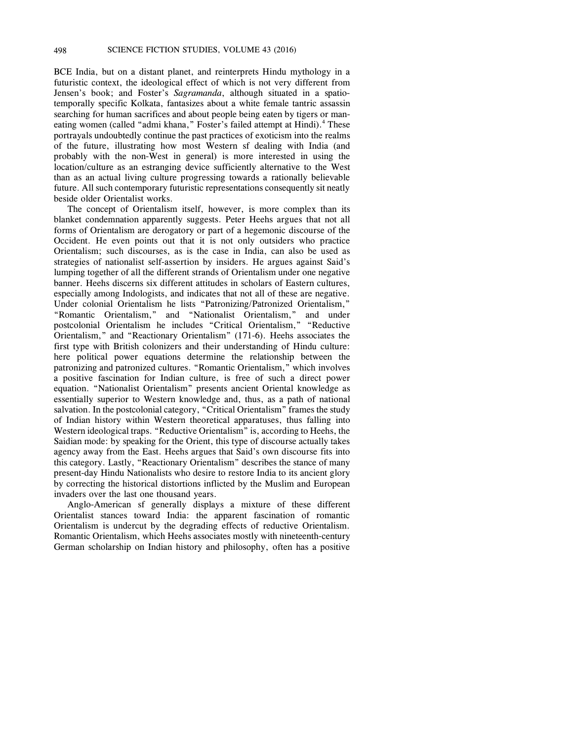BCE India, but on a distant planet, and reinterprets Hindu mythology in a futuristic context, the ideological effect of which is not very different from Jensen's book; and Foster's *Sagramanda*, although situated in a spatiotemporally specific Kolkata, fantasizes about a white female tantric assassin searching for human sacrifices and about people being eaten by tigers or maneating women (called "admi khana," Foster's failed attempt at Hindi).<sup>4</sup> These portrayals undoubtedly continue the past practices of exoticism into the realms of the future, illustrating how most Western sf dealing with India (and probably with the non-West in general) is more interested in using the location/culture as an estranging device sufficiently alternative to the West than as an actual living culture progressing towards a rationally believable future. All such contemporary futuristic representations consequently sit neatly beside older Orientalist works.

The concept of Orientalism itself, however, is more complex than its blanket condemnation apparently suggests. Peter Heehs argues that not all forms of Orientalism are derogatory or part of a hegemonic discourse of the Occident. He even points out that it is not only outsiders who practice Orientalism; such discourses, as is the case in India, can also be used as strategies of nationalist self-assertion by insiders. He argues against Said's lumping together of all the different strands of Orientalism under one negative banner. Heehs discerns six different attitudes in scholars of Eastern cultures, especially among Indologists, and indicates that not all of these are negative. Under colonial Orientalism he lists "Patronizing/Patronized Orientalism," "Romantic Orientalism," and "Nationalist Orientalism," and under postcolonial Orientalism he includes "Critical Orientalism," "Reductive Orientalism," and "Reactionary Orientalism" (171-6). Heehs associates the first type with British colonizers and their understanding of Hindu culture: here political power equations determine the relationship between the patronizing and patronized cultures. "Romantic Orientalism," which involves a positive fascination for Indian culture, is free of such a direct power equation. "Nationalist Orientalism" presents ancient Oriental knowledge as essentially superior to Western knowledge and, thus, as a path of national salvation. In the postcolonial category, "Critical Orientalism" frames the study of Indian history within Western theoretical apparatuses, thus falling into Western ideological traps. "Reductive Orientalism" is, according to Heehs, the Saidian mode: by speaking for the Orient, this type of discourse actually takes agency away from the East. Heehs argues that Said's own discourse fits into this category. Lastly, "Reactionary Orientalism" describes the stance of many present-day Hindu Nationalists who desire to restore India to its ancient glory by correcting the historical distortions inflicted by the Muslim and European invaders over the last one thousand years.

Anglo-American sf generally displays a mixture of these different Orientalist stances toward India: the apparent fascination of romantic Orientalism is undercut by the degrading effects of reductive Orientalism. Romantic Orientalism, which Heehs associates mostly with nineteenth-century German scholarship on Indian history and philosophy, often has a positive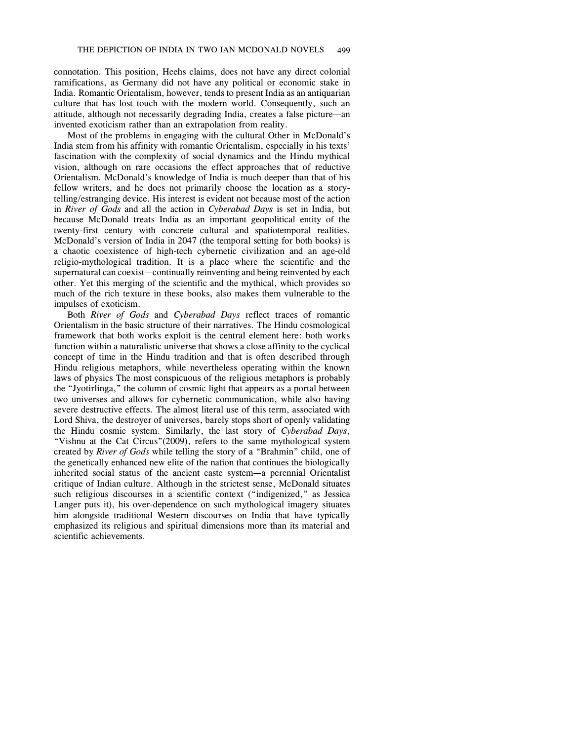connotation. This position, Heehs claims, does not have any direct colonial ramifications, as Germany did not have any political or economic stake in India. Romantic Orientalism, however, tends to present India as an antiquarian culture that has lost touch with the modern world. Consequently, such an attitude, although not necessarily degrading India, creates a false picture—an invented exoticism rather than an extrapolation from reality.

Most of the problems in engaging with the cultural Other in McDonald's India stem from his affinity with romantic Orientalism, especially in his texts' fascination with the complexity of social dynamics and the Hindu mythical vision, although on rare occasions the effect approaches that of reductive Orientalism. McDonald's knowledge of India is much deeper than that of his fellow writers, and he does not primarily choose the location as a storytelling/estranging device. His interest is evident not because most of the action in *River of Gods* and all the action in *Cyberabad Days* is set in India, but because McDonald treats India as an important geopolitical entity of the twenty-first century with concrete cultural and spatiotemporal realities. McDonald's version of India in 2047 (the temporal setting for both books) is a chaotic coexistence of high-tech cybernetic civilization and an age-old religio-mythological tradition. It is a place where the scientific and the supernatural can coexist—continually reinventing and being reinvented by each other. Yet this merging of the scientific and the mythical, which provides so much of the rich texture in these books, also makes them vulnerable to the impulses of exoticism.

Both *River of Gods* and *Cyberabad Days* reflect traces of romantic Orientalism in the basic structure of their narratives. The Hindu cosmological framework that both works exploit is the central element here: both works function within a naturalistic universe that shows a close affinity to the cyclical concept of time in the Hindu tradition and that is often described through Hindu religious metaphors, while nevertheless operating within the known laws of physics The most conspicuous of the religious metaphors is probably the "Jyotirlinga," the column of cosmic light that appears as a portal between two universes and allows for cybernetic communication, while also having severe destructive effects. The almost literal use of this term, associated with Lord Shiva, the destroyer of universes, barely stops short of openly validating the Hindu cosmic system. Similarly, the last story of *Cyberabad Days*, "Vishnu at the Cat Circus"(2009), refers to the same mythological system created by *River of Gods* while telling the story of a "Brahmin" child, one of the genetically enhanced new elite of the nation that continues the biologically inherited social status of the ancient caste system—a perennial Orientalist critique of Indian culture. Although in the strictest sense, McDonald situates such religious discourses in a scientific context ("indigenized," as Jessica Langer puts it), his over-dependence on such mythological imagery situates him alongside traditional Western discourses on India that have typically emphasized its religious and spiritual dimensions more than its material and scientific achievements.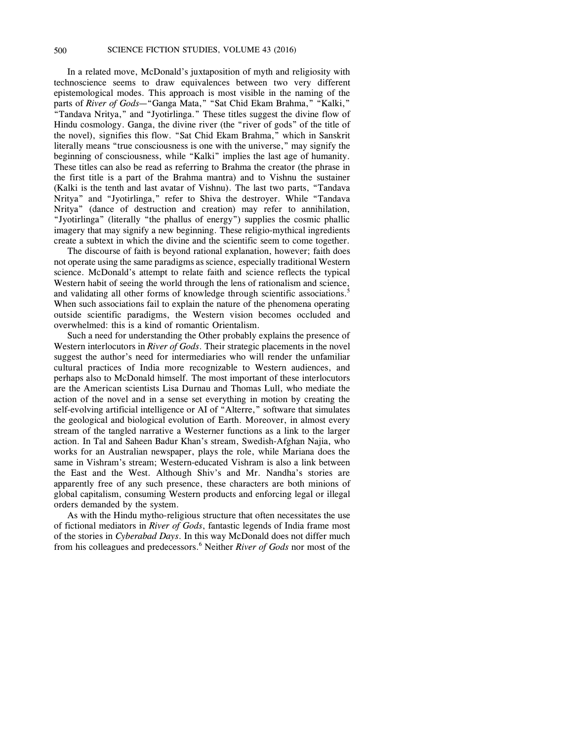In a related move, McDonald's juxtaposition of myth and religiosity with technoscience seems to draw equivalences between two very different epistemological modes. This approach is most visible in the naming of the parts of *River of Gods*—"Ganga Mata," "Sat Chid Ekam Brahma," "Kalki," "Tandava Nritya," and "Jyotirlinga." These titles suggest the divine flow of Hindu cosmology. Ganga, the divine river (the "river of gods" of the title of the novel), signifies this flow. "Sat Chid Ekam Brahma," which in Sanskrit literally means "true consciousness is one with the universe," may signify the beginning of consciousness, while "Kalki" implies the last age of humanity. These titles can also be read as referring to Brahma the creator (the phrase in the first title is a part of the Brahma mantra) and to Vishnu the sustainer (Kalki is the tenth and last avatar of Vishnu). The last two parts, "Tandava Nritya" and "Jyotirlinga," refer to Shiva the destroyer. While "Tandava Nritya" (dance of destruction and creation) may refer to annihilation, "Jyotirlinga" (literally "the phallus of energy") supplies the cosmic phallic imagery that may signify a new beginning. These religio-mythical ingredients create a subtext in which the divine and the scientific seem to come together.

The discourse of faith is beyond rational explanation, however; faith does not operate using the same paradigms as science, especially traditional Western science. McDonald's attempt to relate faith and science reflects the typical Western habit of seeing the world through the lens of rationalism and science, and validating all other forms of knowledge through scientific associations.<sup>5</sup> When such associations fail to explain the nature of the phenomena operating outside scientific paradigms, the Western vision becomes occluded and overwhelmed: this is a kind of romantic Orientalism.

Such a need for understanding the Other probably explains the presence of Western interlocutors in *River of Gods*. Their strategic placements in the novel suggest the author's need for intermediaries who will render the unfamiliar cultural practices of India more recognizable to Western audiences, and perhaps also to McDonald himself. The most important of these interlocutors are the American scientists Lisa Durnau and Thomas Lull, who mediate the action of the novel and in a sense set everything in motion by creating the self-evolving artificial intelligence or AI of "Alterre," software that simulates the geological and biological evolution of Earth. Moreover, in almost every stream of the tangled narrative a Westerner functions as a link to the larger action. In Tal and Saheen Badur Khan's stream, Swedish-Afghan Najia, who works for an Australian newspaper, plays the role, while Mariana does the same in Vishram's stream; Western-educated Vishram is also a link between the East and the West. Although Shiv's and Mr. Nandha's stories are apparently free of any such presence, these characters are both minions of global capitalism, consuming Western products and enforcing legal or illegal orders demanded by the system.

As with the Hindu mytho-religious structure that often necessitates the use of fictional mediators in *River of Gods*, fantastic legends of India frame most of the stories in *Cyberabad Days*. In this way McDonald does not differ much from his colleagues and predecessors.<sup>6</sup> Neither *River of Gods* nor most of the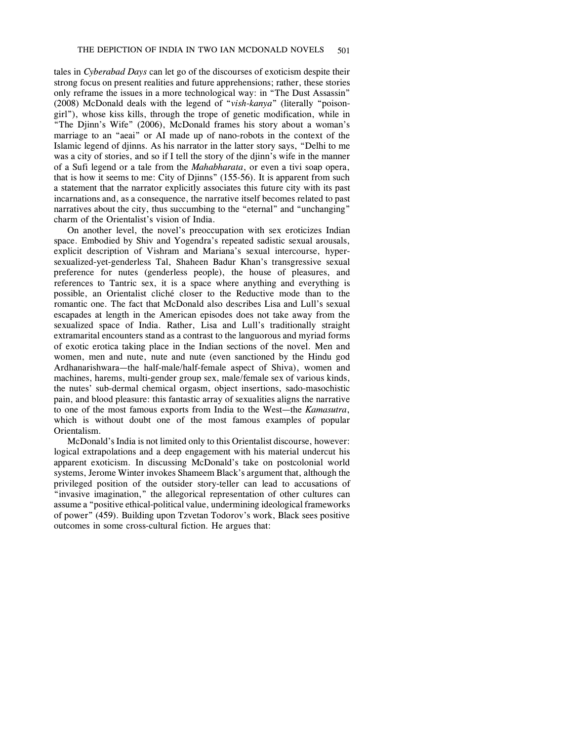tales in *Cyberabad Days* can let go of the discourses of exoticism despite their strong focus on present realities and future apprehensions; rather, these stories only reframe the issues in a more technological way: in "The Dust Assassin" (2008) McDonald deals with the legend of "*vish-kanya*" (literally "poisongirl"), whose kiss kills, through the trope of genetic modification, while in "The Djinn's Wife" (2006), McDonald frames his story about a woman's marriage to an "aeai" or AI made up of nano-robots in the context of the Islamic legend of djinns. As his narrator in the latter story says, "Delhi to me was a city of stories, and so if I tell the story of the djinn's wife in the manner of a Sufi legend or a tale from the *Mahabharata*, or even a tivi soap opera, that is how it seems to me: City of Djinns" (155-56). It is apparent from such a statement that the narrator explicitly associates this future city with its past incarnations and, as a consequence, the narrative itself becomes related to past narratives about the city, thus succumbing to the "eternal" and "unchanging" charm of the Orientalist's vision of India.

On another level, the novel's preoccupation with sex eroticizes Indian space. Embodied by Shiv and Yogendra's repeated sadistic sexual arousals, explicit description of Vishram and Mariana's sexual intercourse, hypersexualized-yet-genderless Tal, Shaheen Badur Khan's transgressive sexual preference for nutes (genderless people), the house of pleasures, and references to Tantric sex, it is a space where anything and everything is possible, an Orientalist cliché closer to the Reductive mode than to the romantic one. The fact that McDonald also describes Lisa and Lull's sexual escapades at length in the American episodes does not take away from the sexualized space of India. Rather, Lisa and Lull's traditionally straight extramarital encounters stand as a contrast to the languorous and myriad forms of exotic erotica taking place in the Indian sections of the novel. Men and women, men and nute, nute and nute (even sanctioned by the Hindu god Ardhanarishwara—the half-male/half-female aspect of Shiva), women and machines, harems, multi-gender group sex, male/female sex of various kinds, the nutes' sub-dermal chemical orgasm, object insertions, sado-masochistic pain, and blood pleasure: this fantastic array of sexualities aligns the narrative to one of the most famous exports from India to the West—the *Kamasutra*, which is without doubt one of the most famous examples of popular Orientalism.

McDonald's India is not limited only to this Orientalist discourse, however: logical extrapolations and a deep engagement with his material undercut his apparent exoticism. In discussing McDonald's take on postcolonial world systems, Jerome Winter invokes Shameem Black's argument that, although the privileged position of the outsider story-teller can lead to accusations of "invasive imagination," the allegorical representation of other cultures can assume a "positive ethical-political value, undermining ideological frameworks of power" (459). Building upon Tzvetan Todorov's work, Black sees positive outcomes in some cross-cultural fiction. He argues that: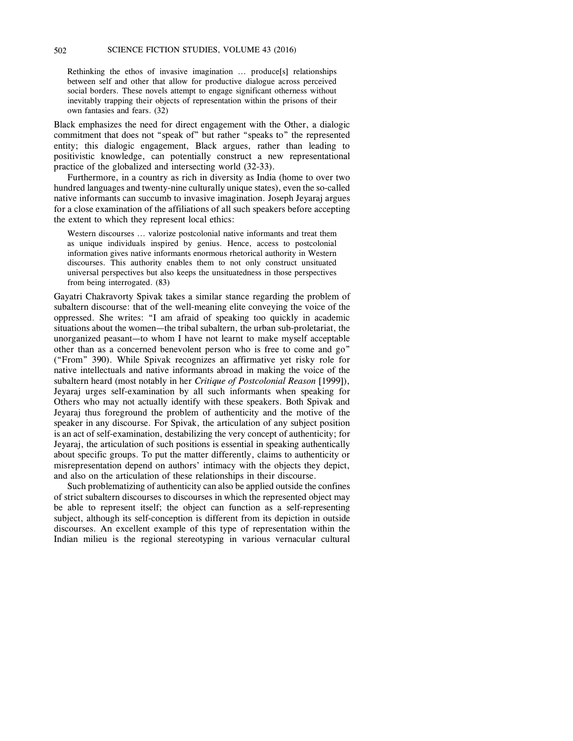Rethinking the ethos of invasive imagination ... produce[s] relationships between self and other that allow for productive dialogue across perceived social borders. These novels attempt to engage significant otherness without inevitably trapping their objects of representation within the prisons of their own fantasies and fears. (32)

Black emphasizes the need for direct engagement with the Other, a dialogic commitment that does not "speak of" but rather "speaks to" the represented entity; this dialogic engagement, Black argues, rather than leading to positivistic knowledge, can potentially construct a new representational practice of the globalized and intersecting world (32-33).

Furthermore, in a country as rich in diversity as India (home to over two hundred languages and twenty-nine culturally unique states), even the so-called native informants can succumb to invasive imagination. Joseph Jeyaraj argues for a close examination of the affiliations of all such speakers before accepting the extent to which they represent local ethics:

Western discourses ... valorize postcolonial native informants and treat them as unique individuals inspired by genius. Hence, access to postcolonial information gives native informants enormous rhetorical authority in Western discourses. This authority enables them to not only construct unsituated universal perspectives but also keeps the unsituatedness in those perspectives from being interrogated. (83)

Gayatri Chakravorty Spivak takes a similar stance regarding the problem of subaltern discourse: that of the well-meaning elite conveying the voice of the oppressed. She writes: "I am afraid of speaking too quickly in academic situations about the women—the tribal subaltern, the urban sub-proletariat, the unorganized peasant—to whom I have not learnt to make myself acceptable other than as a concerned benevolent person who is free to come and go" ("From" 390). While Spivak recognizes an affirmative yet risky role for native intellectuals and native informants abroad in making the voice of the subaltern heard (most notably in her *Critique of Postcolonial Reason* [1999]), Jeyaraj urges self-examination by all such informants when speaking for Others who may not actually identify with these speakers. Both Spivak and Jeyaraj thus foreground the problem of authenticity and the motive of the speaker in any discourse. For Spivak, the articulation of any subject position is an act of self-examination, destabilizing the very concept of authenticity; for Jeyaraj, the articulation of such positions is essential in speaking authentically about specific groups. To put the matter differently, claims to authenticity or misrepresentation depend on authors' intimacy with the objects they depict, and also on the articulation of these relationships in their discourse.

Such problematizing of authenticity can also be applied outside the confines of strict subaltern discourses to discourses in which the represented object may be able to represent itself; the object can function as a self-representing subject, although its self-conception is different from its depiction in outside discourses. An excellent example of this type of representation within the Indian milieu is the regional stereotyping in various vernacular cultural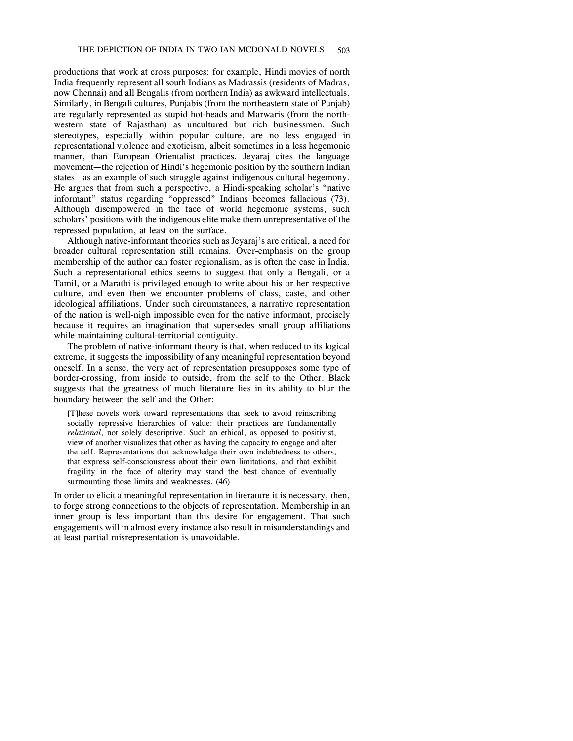productions that work at cross purposes: for example, Hindi movies of north India frequently represent all south Indians as Madrassis (residents of Madras, now Chennai) and all Bengalis (from northern India) as awkward intellectuals. Similarly, in Bengali cultures, Punjabis (from the northeastern state of Punjab) are regularly represented as stupid hot-heads and Marwaris (from the northwestern state of Rajasthan) as uncultured but rich businessmen. Such stereotypes, especially within popular culture, are no less engaged in representational violence and exoticism, albeit sometimes in a less hegemonic manner, than European Orientalist practices. Jeyaraj cites the language movement—the rejection of Hindi's hegemonic position by the southern Indian states—as an example of such struggle against indigenous cultural hegemony. He argues that from such a perspective, a Hindi-speaking scholar's "native informant" status regarding "oppressed" Indians becomes fallacious (73). Although disempowered in the face of world hegemonic systems, such scholars' positions with the indigenous elite make them unrepresentative of the repressed population, at least on the surface.

Although native-informant theories such as Jeyaraj's are critical, a need for broader cultural representation still remains. Over-emphasis on the group membership of the author can foster regionalism, as is often the case in India. Such a representational ethics seems to suggest that only a Bengali, or a Tamil, or a Marathi is privileged enough to write about his or her respective culture, and even then we encounter problems of class, caste, and other ideological affiliations. Under such circumstances, a narrative representation of the nation is well-nigh impossible even for the native informant, precisely because it requires an imagination that supersedes small group affiliations while maintaining cultural-territorial contiguity.

The problem of native-informant theory is that, when reduced to its logical extreme, it suggests the impossibility of any meaningful representation beyond oneself. In a sense, the very act of representation presupposes some type of border-crossing, from inside to outside, from the self to the Other. Black suggests that the greatness of much literature lies in its ability to blur the boundary between the self and the Other:

[T]hese novels work toward representations that seek to avoid reinscribing socially repressive hierarchies of value: their practices are fundamentally *relational*, not solely descriptive. Such an ethical, as opposed to positivist, view of another visualizes that other as having the capacity to engage and alter the self. Representations that acknowledge their own indebtedness to others, that express self-consciousness about their own limitations, and that exhibit fragility in the face of alterity may stand the best chance of eventually surmounting those limits and weaknesses. (46)

In order to elicit a meaningful representation in literature it is necessary, then, to forge strong connections to the objects of representation. Membership in an inner group is less important than this desire for engagement. That such engagements will in almost every instance also result in misunderstandings and at least partial misrepresentation is unavoidable.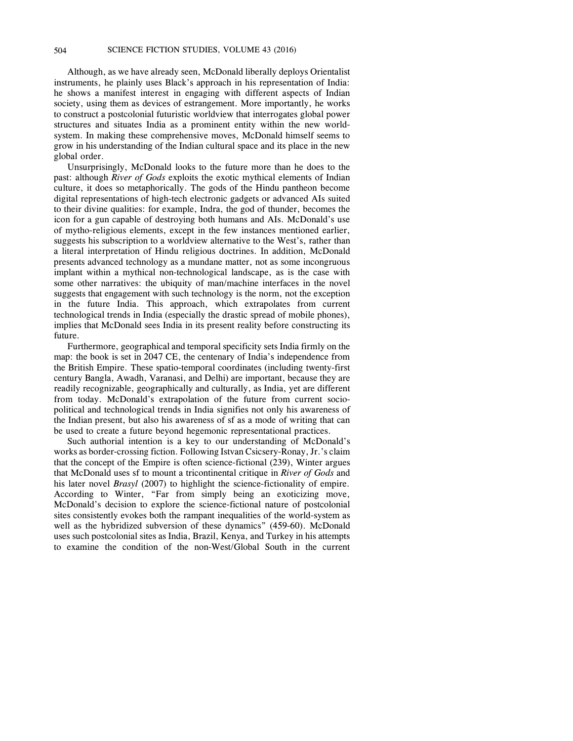Although, as we have already seen, McDonald liberally deploys Orientalist instruments, he plainly uses Black's approach in his representation of India: he shows a manifest interest in engaging with different aspects of Indian society, using them as devices of estrangement. More importantly, he works to construct a postcolonial futuristic worldview that interrogates global power structures and situates India as a prominent entity within the new worldsystem. In making these comprehensive moves, McDonald himself seems to grow in his understanding of the Indian cultural space and its place in the new global order.

Unsurprisingly, McDonald looks to the future more than he does to the past: although *River of Gods* exploits the exotic mythical elements of Indian culture, it does so metaphorically. The gods of the Hindu pantheon become digital representations of high-tech electronic gadgets or advanced AIs suited to their divine qualities: for example, Indra, the god of thunder, becomes the icon for a gun capable of destroying both humans and AIs. McDonald's use of mytho-religious elements, except in the few instances mentioned earlier, suggests his subscription to a worldview alternative to the West's, rather than a literal interpretation of Hindu religious doctrines. In addition, McDonald presents advanced technology as a mundane matter, not as some incongruous implant within a mythical non-technological landscape, as is the case with some other narratives: the ubiquity of man/machine interfaces in the novel suggests that engagement with such technology is the norm, not the exception in the future India. This approach, which extrapolates from current technological trends in India (especially the drastic spread of mobile phones), implies that McDonald sees India in its present reality before constructing its future.

Furthermore, geographical and temporal specificity sets India firmly on the map: the book is set in 2047 CE, the centenary of India's independence from the British Empire. These spatio-temporal coordinates (including twenty-first century Bangla, Awadh, Varanasi, and Delhi) are important, because they are readily recognizable, geographically and culturally, as India, yet are different from today. McDonald's extrapolation of the future from current sociopolitical and technological trends in India signifies not only his awareness of the Indian present, but also his awareness of sf as a mode of writing that can be used to create a future beyond hegemonic representational practices.

Such authorial intention is a key to our understanding of McDonald's works as border-crossing fiction. Following Istvan Csicsery-Ronay, Jr.'s claim that the concept of the Empire is often science-fictional (239), Winter argues that McDonald uses sf to mount a tricontinental critique in *River of Gods* and his later novel *Brasyl* (2007) to highlight the science-fictionality of empire. According to Winter, "Far from simply being an exoticizing move, McDonald's decision to explore the science-fictional nature of postcolonial sites consistently evokes both the rampant inequalities of the world-system as well as the hybridized subversion of these dynamics" (459-60). McDonald uses such postcolonial sites as India, Brazil, Kenya, and Turkey in his attempts to examine the condition of the non-West/Global South in the current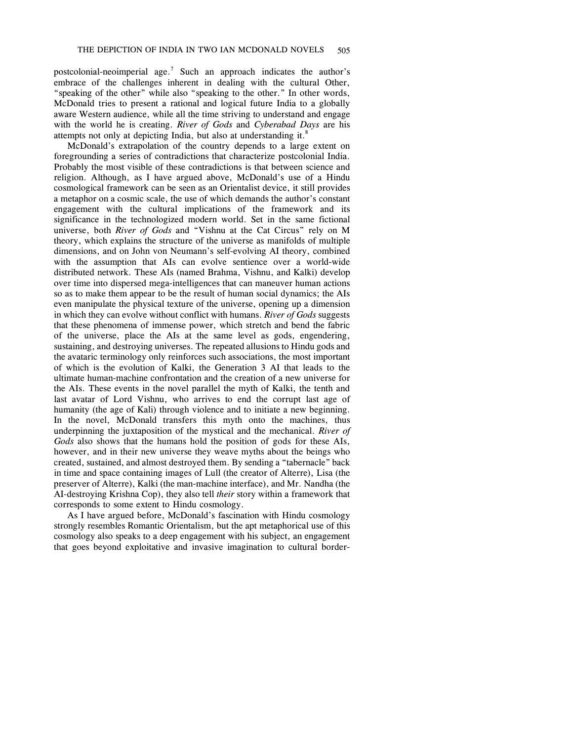postcolonial-neoimperial age.<sup>7</sup> Such an approach indicates the author's embrace of the challenges inherent in dealing with the cultural Other, "speaking of the other" while also "speaking to the other." In other words, McDonald tries to present a rational and logical future India to a globally aware Western audience, while all the time striving to understand and engage with the world he is creating. *River of Gods* and *Cyberabad Days* are his attempts not only at depicting India, but also at understanding it.<sup>8</sup>

McDonald's extrapolation of the country depends to a large extent on foregrounding a series of contradictions that characterize postcolonial India. Probably the most visible of these contradictions is that between science and religion. Although, as I have argued above, McDonald's use of a Hindu cosmological framework can be seen as an Orientalist device, it still provides a metaphor on a cosmic scale, the use of which demands the author's constant engagement with the cultural implications of the framework and its significance in the technologized modern world. Set in the same fictional universe, both *River of Gods* and "Vishnu at the Cat Circus" rely on M theory, which explains the structure of the universe as manifolds of multiple dimensions, and on John von Neumann's self-evolving AI theory, combined with the assumption that AIs can evolve sentience over a world-wide distributed network. These AIs (named Brahma, Vishnu, and Kalki) develop over time into dispersed mega-intelligences that can maneuver human actions so as to make them appear to be the result of human social dynamics; the AIs even manipulate the physical texture of the universe, opening up a dimension in which they can evolve without conflict with humans. *River of Gods* suggests that these phenomena of immense power, which stretch and bend the fabric of the universe, place the AIs at the same level as gods, engendering, sustaining, and destroying universes. The repeated allusions to Hindu gods and the avataric terminology only reinforces such associations, the most important of which is the evolution of Kalki, the Generation 3 AI that leads to the ultimate human-machine confrontation and the creation of a new universe for the AIs. These events in the novel parallel the myth of Kalki, the tenth and last avatar of Lord Vishnu, who arrives to end the corrupt last age of humanity (the age of Kali) through violence and to initiate a new beginning. In the novel, McDonald transfers this myth onto the machines, thus underpinning the juxtaposition of the mystical and the mechanical. *River of Gods* also shows that the humans hold the position of gods for these AIs, however, and in their new universe they weave myths about the beings who created, sustained, and almost destroyed them. By sending a "tabernacle" back in time and space containing images of Lull (the creator of Alterre), Lisa (the preserver of Alterre), Kalki (the man-machine interface), and Mr. Nandha (the AI-destroying Krishna Cop), they also tell *their* story within a framework that corresponds to some extent to Hindu cosmology.

As I have argued before, McDonald's fascination with Hindu cosmology strongly resembles Romantic Orientalism, but the apt metaphorical use of this cosmology also speaks to a deep engagement with his subject, an engagement that goes beyond exploitative and invasive imagination to cultural border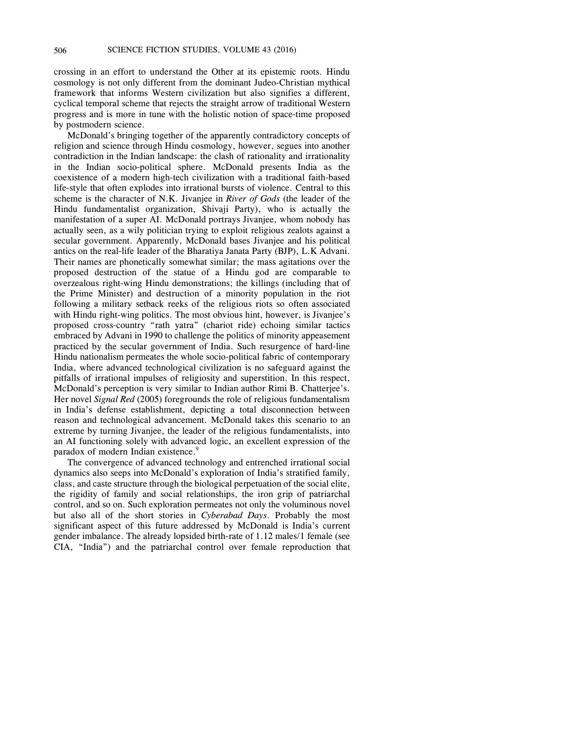crossing in an effort to understand the Other at its epistemic roots. Hindu cosmology is not only different from the dominant Judeo-Christian mythical framework that informs Western civilization but also signifies a different, cyclical temporal scheme that rejects the straight arrow of traditional Western progress and is more in tune with the holistic notion of space-time proposed by postmodern science.

McDonald's bringing together of the apparently contradictory concepts of religion and science through Hindu cosmology, however, segues into another contradiction in the Indian landscape: the clash of rationality and irrationality in the Indian socio-political sphere. McDonald presents India as the coexistence of a modern high-tech civilization with a traditional faith-based life-style that often explodes into irrational bursts of violence. Central to this scheme is the character of N.K. Jivanjee in *River of Gods* (the leader of the Hindu fundamentalist organization, Shivaji Party), who is actually the manifestation of a super AI. McDonald portrays Jivanjee, whom nobody has actually seen, as a wily politician trying to exploit religious zealots against a secular government. Apparently, McDonald bases Jivanjee and his political antics on the real-life leader of the Bharatiya Janata Party (BJP), L.K Advani. Their names are phonetically somewhat similar; the mass agitations over the proposed destruction of the statue of a Hindu god are comparable to overzealous right-wing Hindu demonstrations; the killings (including that of the Prime Minister) and destruction of a minority population in the riot following a military setback reeks of the religious riots so often associated with Hindu right-wing politics. The most obvious hint, however, is Jivanjee's proposed cross-country "rath yatra" (chariot ride) echoing similar tactics embraced by Advani in 1990 to challenge the politics of minority appeasement practiced by the secular government of India. Such resurgence of hard-line Hindu nationalism permeates the whole socio-political fabric of contemporary India, where advanced technological civilization is no safeguard against the pitfalls of irrational impulses of religiosity and superstition. In this respect, McDonald's perception is very similar to Indian author Rimi B. Chatterjee's. Her novel *Signal Red* (2005) foregrounds the role of religious fundamentalism in India's defense establishment, depicting a total disconnection between reason and technological advancement. McDonald takes this scenario to an extreme by turning Jivanjee, the leader of the religious fundamentalists, into an AI functioning solely with advanced logic, an excellent expression of the paradox of modern Indian existence.<sup>9</sup>

The convergence of advanced technology and entrenched irrational social dynamics also seeps into McDonald's exploration of India's stratified family, class, and caste structure through the biological perpetuation of the social elite, the rigidity of family and social relationships, the iron grip of patriarchal control, and so on. Such exploration permeates not only the voluminous novel but also all of the short stories in *Cyberabad Days*. Probably the most significant aspect of this future addressed by McDonald is India's current gender imbalance. The already lopsided birth-rate of 1.12 males/1 female (see CIA, "India") and the patriarchal control over female reproduction that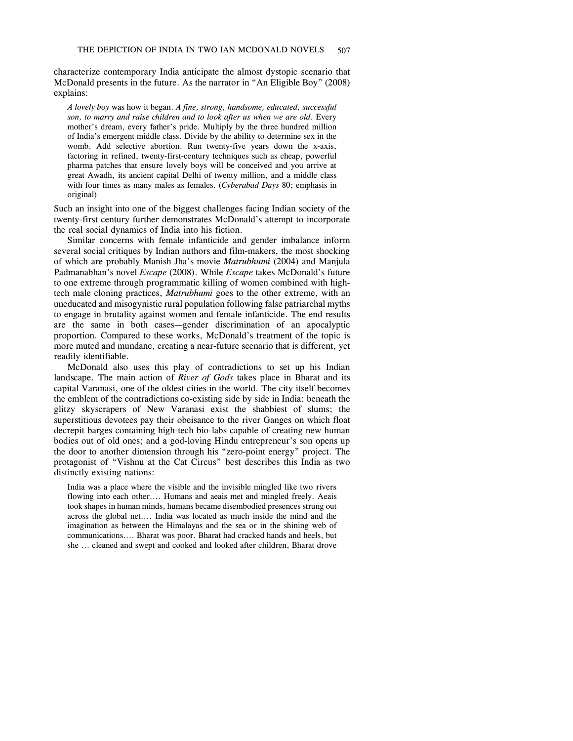characterize contemporary India anticipate the almost dystopic scenario that McDonald presents in the future. As the narrator in "An Eligible Boy" (2008) explains:

*A lovely boy* was how it began. *A fine, strong, handsome, educated, successful son, to marry and raise children and to look after us when we are old*. Every mother's dream, every father's pride. Multiply by the three hundred million of India's emergent middle class. Divide by the ability to determine sex in the womb. Add selective abortion. Run twenty-five years down the x-axis, factoring in refined, twenty-first-century techniques such as cheap, powerful pharma patches that ensure lovely boys will be conceived and you arrive at great Awadh, its ancient capital Delhi of twenty million, and a middle class with four times as many males as females. (*Cyberabad Days* 80; emphasis in original)

Such an insight into one of the biggest challenges facing Indian society of the twenty-first century further demonstrates McDonald's attempt to incorporate the real social dynamics of India into his fiction.

Similar concerns with female infanticide and gender imbalance inform several social critiques by Indian authors and film-makers, the most shocking of which are probably Manish Jha's movie *Matrubhumi* (2004) and Manjula Padmanabhan's novel *Escape* (2008). While *Escape* takes McDonald's future to one extreme through programmatic killing of women combined with hightech male cloning practices, *Matrubhumi* goes to the other extreme, with an uneducated and misogynistic rural population following false patriarchal myths to engage in brutality against women and female infanticide. The end results are the same in both cases—gender discrimination of an apocalyptic proportion. Compared to these works, McDonald's treatment of the topic is more muted and mundane, creating a near-future scenario that is different, yet readily identifiable.

McDonald also uses this play of contradictions to set up his Indian landscape. The main action of *River of Gods* takes place in Bharat and its capital Varanasi, one of the oldest cities in the world. The city itself becomes the emblem of the contradictions co-existing side by side in India: beneath the glitzy skyscrapers of New Varanasi exist the shabbiest of slums; the superstitious devotees pay their obeisance to the river Ganges on which float decrepit barges containing high-tech bio-labs capable of creating new human bodies out of old ones; and a god-loving Hindu entrepreneur's son opens up the door to another dimension through his "zero-point energy" project. The protagonist of "Vishnu at the Cat Circus" best describes this India as two distinctly existing nations:

India was a place where the visible and the invisible mingled like two rivers flowing into each other.... Humans and aeais met and mingled freely. Aeais took shapes in human minds, humans became disembodied presences strung out across the global net.... India was located as much inside the mind and the imagination as between the Himalayas and the sea or in the shining web of communications.... Bharat was poor. Bharat had cracked hands and heels, but she ... cleaned and swept and cooked and looked after children, Bharat drove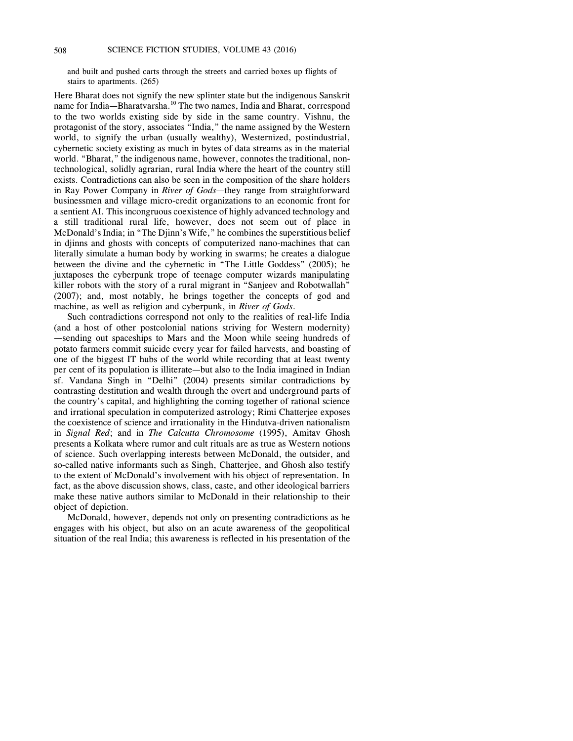and built and pushed carts through the streets and carried boxes up flights of stairs to apartments. (265)

Here Bharat does not signify the new splinter state but the indigenous Sanskrit name for India—Bharatvarsha.<sup>10</sup> The two names, India and Bharat, correspond to the two worlds existing side by side in the same country. Vishnu, the protagonist of the story, associates "India," the name assigned by the Western world, to signify the urban (usually wealthy), Westernized, postindustrial, cybernetic society existing as much in bytes of data streams as in the material world. "Bharat," the indigenous name, however, connotes the traditional, nontechnological, solidly agrarian, rural India where the heart of the country still exists. Contradictions can also be seen in the composition of the share holders in Ray Power Company in *River of Gods*—they range from straightforward businessmen and village micro-credit organizations to an economic front for a sentient AI. This incongruous coexistence of highly advanced technology and a still traditional rural life, however, does not seem out of place in McDonald's India; in "The Djinn's Wife," he combines the superstitious belief in djinns and ghosts with concepts of computerized nano-machines that can literally simulate a human body by working in swarms; he creates a dialogue between the divine and the cybernetic in "The Little Goddess" (2005); he juxtaposes the cyberpunk trope of teenage computer wizards manipulating killer robots with the story of a rural migrant in "Sanjeev and Robotwallah" (2007); and, most notably, he brings together the concepts of god and machine, as well as religion and cyberpunk, in *River of Gods*.

Such contradictions correspond not only to the realities of real-life India (and a host of other postcolonial nations striving for Western modernity) —sending out spaceships to Mars and the Moon while seeing hundreds of potato farmers commit suicide every year for failed harvests, and boasting of one of the biggest IT hubs of the world while recording that at least twenty per cent of its population is illiterate—but also to the India imagined in Indian sf. Vandana Singh in "Delhi" (2004) presents similar contradictions by contrasting destitution and wealth through the overt and underground parts of the country's capital, and highlighting the coming together of rational science and irrational speculation in computerized astrology; Rimi Chatterjee exposes the coexistence of science and irrationality in the Hindutva-driven nationalism in *Signal Red*; and in *The Calcutta Chromosome* (1995), Amitav Ghosh presents a Kolkata where rumor and cult rituals are as true as Western notions of science. Such overlapping interests between McDonald, the outsider, and so-called native informants such as Singh, Chatterjee, and Ghosh also testify to the extent of McDonald's involvement with his object of representation. In fact, as the above discussion shows, class, caste, and other ideological barriers make these native authors similar to McDonald in their relationship to their object of depiction.

McDonald, however, depends not only on presenting contradictions as he engages with his object, but also on an acute awareness of the geopolitical situation of the real India; this awareness is reflected in his presentation of the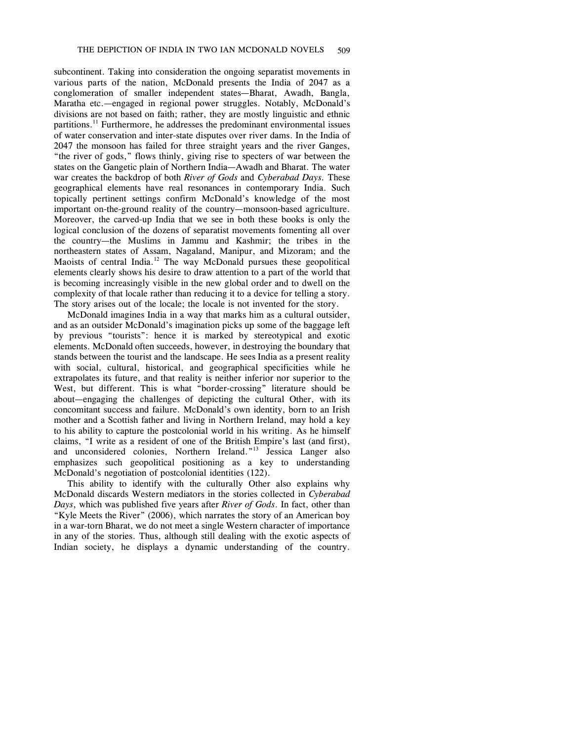subcontinent. Taking into consideration the ongoing separatist movements in various parts of the nation, McDonald presents the India of 2047 as a conglomeration of smaller independent states—Bharat, Awadh, Bangla, Maratha etc.—engaged in regional power struggles. Notably, McDonald's divisions are not based on faith; rather, they are mostly linguistic and ethnic partitions.<sup>11</sup> Furthermore, he addresses the predominant environmental issues of water conservation and inter-state disputes over river dams. In the India of 2047 the monsoon has failed for three straight years and the river Ganges, "the river of gods," flows thinly, giving rise to specters of war between the states on the Gangetic plain of Northern India—Awadh and Bharat. The water war creates the backdrop of both *River of Gods* and *Cyberabad Days.* These geographical elements have real resonances in contemporary India. Such topically pertinent settings confirm McDonald's knowledge of the most important on-the-ground reality of the country—monsoon-based agriculture. Moreover, the carved-up India that we see in both these books is only the logical conclusion of the dozens of separatist movements fomenting all over the country—the Muslims in Jammu and Kashmir; the tribes in the northeastern states of Assam, Nagaland, Manipur, and Mizoram; and the Maoists of central India.<sup>12</sup> The way McDonald pursues these geopolitical elements clearly shows his desire to draw attention to a part of the world that is becoming increasingly visible in the new global order and to dwell on the complexity of that locale rather than reducing it to a device for telling a story. The story arises out of the locale; the locale is not invented for the story.

McDonald imagines India in a way that marks him as a cultural outsider, and as an outsider McDonald's imagination picks up some of the baggage left by previous "tourists": hence it is marked by stereotypical and exotic elements. McDonald often succeeds, however, in destroying the boundary that stands between the tourist and the landscape. He sees India as a present reality with social, cultural, historical, and geographical specificities while he extrapolates its future, and that reality is neither inferior nor superior to the West, but different. This is what "border-crossing" literature should be about—engaging the challenges of depicting the cultural Other, with its concomitant success and failure. McDonald's own identity, born to an Irish mother and a Scottish father and living in Northern Ireland, may hold a key to his ability to capture the postcolonial world in his writing. As he himself claims, "I write as a resident of one of the British Empire's last (and first), and unconsidered colonies, Northern Ireland."<sup>13</sup> Jessica Langer also emphasizes such geopolitical positioning as a key to understanding McDonald's negotiation of postcolonial identities (122).

This ability to identify with the culturally Other also explains why McDonald discards Western mediators in the stories collected in *Cyberabad Days*, which was published five years after *River of Gods*. In fact, other than "Kyle Meets the River" (2006), which narrates the story of an American boy in a war-torn Bharat, we do not meet a single Western character of importance in any of the stories. Thus, although still dealing with the exotic aspects of Indian society, he displays a dynamic understanding of the country.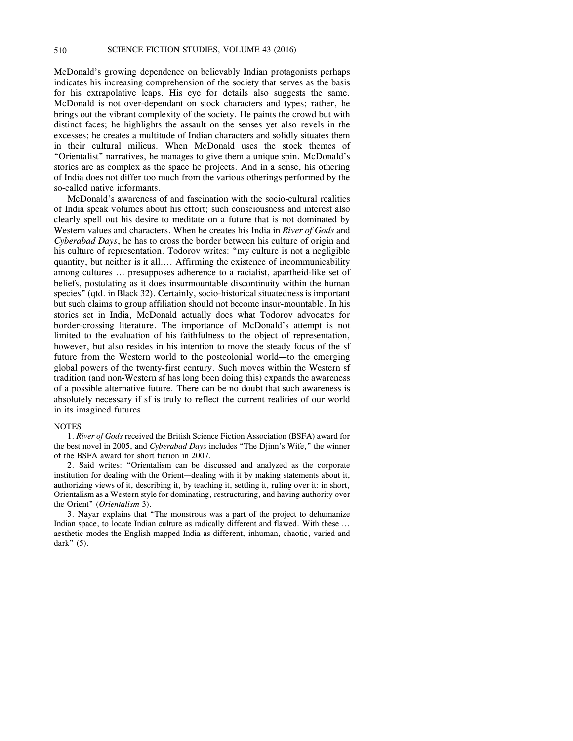McDonald's growing dependence on believably Indian protagonists perhaps indicates his increasing comprehension of the society that serves as the basis for his extrapolative leaps. His eye for details also suggests the same. McDonald is not over-dependant on stock characters and types; rather, he brings out the vibrant complexity of the society. He paints the crowd but with distinct faces; he highlights the assault on the senses yet also revels in the excesses; he creates a multitude of Indian characters and solidly situates them in their cultural milieus. When McDonald uses the stock themes of "Orientalist" narratives, he manages to give them a unique spin. McDonald's stories are as complex as the space he projects. And in a sense, his othering of India does not differ too much from the various otherings performed by the so-called native informants.

McDonald's awareness of and fascination with the socio-cultural realities of India speak volumes about his effort; such consciousness and interest also clearly spell out his desire to meditate on a future that is not dominated by Western values and characters. When he creates his India in *River of Gods* and *Cyberabad Days*, he has to cross the border between his culture of origin and his culture of representation. Todorov writes: "my culture is not a negligible quantity, but neither is it all.... Affirming the existence of incommunicability among cultures ... presupposes adherence to a racialist, apartheid-like set of beliefs, postulating as it does insurmountable discontinuity within the human species" (qtd. in Black 32). Certainly, socio-historical situatedness is important but such claims to group affiliation should not become insur-mountable. In his stories set in India, McDonald actually does what Todorov advocates for border-crossing literature. The importance of McDonald's attempt is not limited to the evaluation of his faithfulness to the object of representation, however, but also resides in his intention to move the steady focus of the sf future from the Western world to the postcolonial world—to the emerging global powers of the twenty-first century. Such moves within the Western sf tradition (and non-Western sf has long been doing this) expands the awareness of a possible alternative future. There can be no doubt that such awareness is absolutely necessary if sf is truly to reflect the current realities of our world in its imagined futures.

#### **NOTES**

1. *River of Gods* received the British Science Fiction Association (BSFA) award for the best novel in 2005, and *Cyberabad Days* includes "The Djinn's Wife," the winner of the BSFA award for short fiction in 2007.

2. Said writes: "Orientalism can be discussed and analyzed as the corporate institution for dealing with the Orient—dealing with it by making statements about it, authorizing views of it, describing it, by teaching it, settling it, ruling over it: in short, Orientalism as a Western style for dominating, restructuring, and having authority over the Orient" (*Orientalism* 3).

3. Nayar explains that "The monstrous was a part of the project to dehumanize Indian space, to locate Indian culture as radically different and flawed. With these ... aesthetic modes the English mapped India as different, inhuman, chaotic, varied and dark" (5).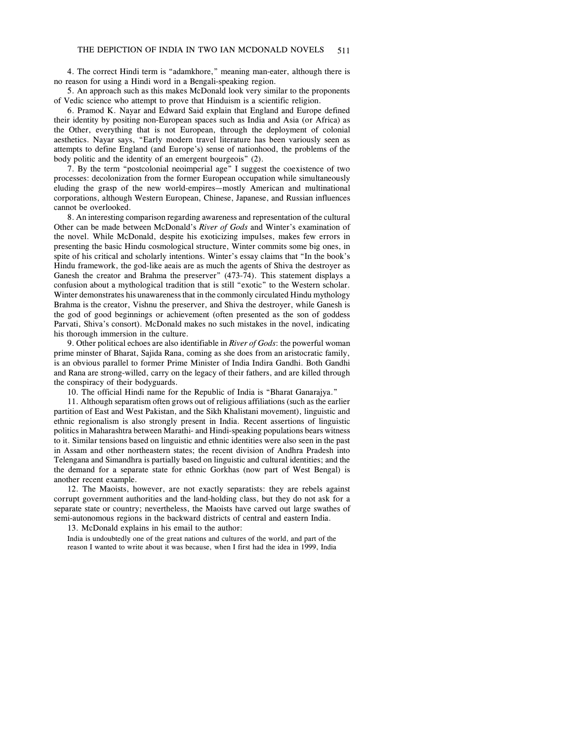4. The correct Hindi term is "adamkhore," meaning man-eater, although there is no reason for using a Hindi word in a Bengali-speaking region.

5. An approach such as this makes McDonald look very similar to the proponents of Vedic science who attempt to prove that Hinduism is a scientific religion.

6. Pramod K. Nayar and Edward Said explain that England and Europe defined their identity by positing non-European spaces such as India and Asia (or Africa) as the Other, everything that is not European, through the deployment of colonial aesthetics. Nayar says, "Early modern travel literature has been variously seen as attempts to define England (and Europe's) sense of nationhood, the problems of the body politic and the identity of an emergent bourgeois" (2).

7. By the term "postcolonial neoimperial age" I suggest the coexistence of two processes: decolonization from the former European occupation while simultaneously eluding the grasp of the new world-empires—mostly American and multinational corporations, although Western European, Chinese, Japanese, and Russian influences cannot be overlooked.

8. An interesting comparison regarding awareness and representation of the cultural Other can be made between McDonald's *River of Gods* and Winter's examination of the novel. While McDonald, despite his exoticizing impulses, makes few errors in presenting the basic Hindu cosmological structure, Winter commits some big ones, in spite of his critical and scholarly intentions. Winter's essay claims that "In the book's Hindu framework, the god-like aeais are as much the agents of Shiva the destroyer as Ganesh the creator and Brahma the preserver" (473-74). This statement displays a confusion about a mythological tradition that is still "exotic" to the Western scholar. Winter demonstrates his unawareness that in the commonly circulated Hindu mythology Brahma is the creator, Vishnu the preserver, and Shiva the destroyer, while Ganesh is the god of good beginnings or achievement (often presented as the son of goddess Parvati, Shiva's consort). McDonald makes no such mistakes in the novel, indicating his thorough immersion in the culture.

9. Other political echoes are also identifiable in *River of Gods*: the powerful woman prime minster of Bharat, Sajida Rana, coming as she does from an aristocratic family, is an obvious parallel to former Prime Minister of India Indira Gandhi. Both Gandhi and Rana are strong-willed, carry on the legacy of their fathers, and are killed through the conspiracy of their bodyguards.

10. The official Hindi name for the Republic of India is "Bharat Ganarajya."

11. Although separatism often grows out of religious affiliations (such as the earlier partition of East and West Pakistan, and the Sikh Khalistani movement), linguistic and ethnic regionalism is also strongly present in India. Recent assertions of linguistic politics in Maharashtra between Marathi- and Hindi-speaking populations bears witness to it. Similar tensions based on linguistic and ethnic identities were also seen in the past in Assam and other northeastern states; the recent division of Andhra Pradesh into Telengana and Simandhra is partially based on linguistic and cultural identities; and the the demand for a separate state for ethnic Gorkhas (now part of West Bengal) is another recent example.

12. The Maoists, however, are not exactly separatists: they are rebels against corrupt government authorities and the land-holding class, but they do not ask for a separate state or country; nevertheless, the Maoists have carved out large swathes of semi-autonomous regions in the backward districts of central and eastern India.

13. McDonald explains in his email to the author:

India is undoubtedly one of the great nations and cultures of the world, and part of the reason I wanted to write about it was because, when I first had the idea in 1999, India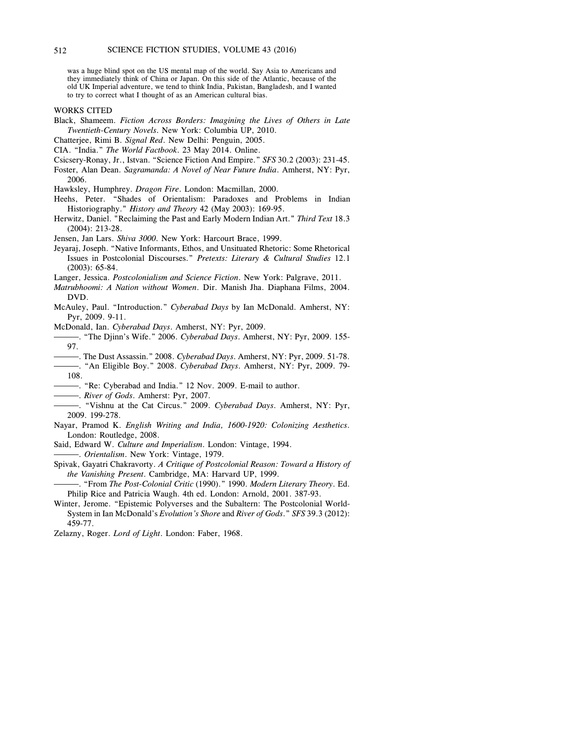was a huge blind spot on the US mental map of the world. Say Asia to Americans and they immediately think of China or Japan. On this side of the Atlantic, because of the old UK Imperial adventure, we tend to think India, Pakistan, Bangladesh, and I wanted to try to correct what I thought of as an American cultural bias.

#### WORKS CITED

- Black, Shameem. *Fiction Across Borders: Imagining the Lives of Others in Late Twentieth-Century Novels*. New York: Columbia UP, 2010.
- Chatterjee, Rimi B. *Signal Red*. New Delhi: Penguin, 2005.
- CIA. "India." *The World Factbook*. 23 May 2014. Online.
- Csicsery-Ronay, Jr., Istvan. "Science Fiction And Empire." *SFS* 30.2 (2003): 231-45.
- Foster, Alan Dean. *Sagramanda: A Novel of Near Future India*. Amherst, NY: Pyr, 2006.
- Hawksley, Humphrey. *Dragon Fire*. London: Macmillan, 2000.
- Heehs, Peter. "Shades of Orientalism: Paradoxes and Problems in Indian Historiography." *History and Theory* 42 (May 2003): 169-95.
- Herwitz, Daniel. "Reclaiming the Past and Early Modern Indian Art." *Third Text* 18.3 (2004): 213-28.
- Jensen, Jan Lars. *Shiva 3000*. New York: Harcourt Brace, 1999.
- Jeyaraj, Joseph. "Native Informants, Ethos, and Unsituated Rhetoric: Some Rhetorical Issues in Postcolonial Discourses." *Pretexts: Literary & Cultural Studies* 12.1 (2003): 65-84.
- Langer, Jessica. *Postcolonialism and Science Fiction*. New York: Palgrave, 2011.
- *Matrubhoomi: A Nation without Women*. Dir. Manish Jha. Diaphana Films, 2004. DVD.
- McAuley, Paul. "Introduction." *Cyberabad Days* by Ian McDonald. Amherst, NY: Pyr, 2009. 9-11.
- McDonald, Ian. *Cyberabad Days*. Amherst, NY: Pyr, 2009.
- ))))). "The Djinn's Wife." 2006. *Cyberabad Days*. Amherst, NY: Pyr, 2009. 155- 97.
- ))))). The Dust Assassin." 2008. *Cyberabad Days*. Amherst, NY: Pyr, 2009. 51-78.
- ))))). "An Eligible Boy." 2008. *Cyberabad Days*. Amherst, NY: Pyr, 2009. 79- 108.
- ))))). "Re: Cyberabad and India." 12 Nov. 2009. E-mail to author.
- ))))). *River of Gods*. Amherst: Pyr, 2007.
- ))))). "Vishnu at the Cat Circus." 2009. *Cyberabad Days*. Amherst, NY: Pyr, 2009. 199-278.
- Nayar, Pramod K. *English Writing and India, 1600-1920: Colonizing Aesthetics*. London: Routledge, 2008.
- Said, Edward W. *Culture and Imperialism*. London: Vintage, 1994.
- ))))). *Orientalism*. New York: Vintage, 1979.
- Spivak, Gayatri Chakravorty. *A Critique of Postcolonial Reason: Toward a History of the Vanishing Present*. Cambridge, MA: Harvard UP, 1999.
- ))))). "From *The Post-Colonial Critic* (1990)." 1990. *Modern Literary Theory*. Ed. Philip Rice and Patricia Waugh. 4th ed. London: Arnold, 2001. 387-93.
- Winter, Jerome. "Epistemic Polyverses and the Subaltern: The Postcolonial World-System in Ian McDonald's *Evolution's Shore* and *River of Gods*." *SFS* 39.3 (2012): 459-77.
- Zelazny, Roger. *Lord of Light*. London: Faber, 1968.